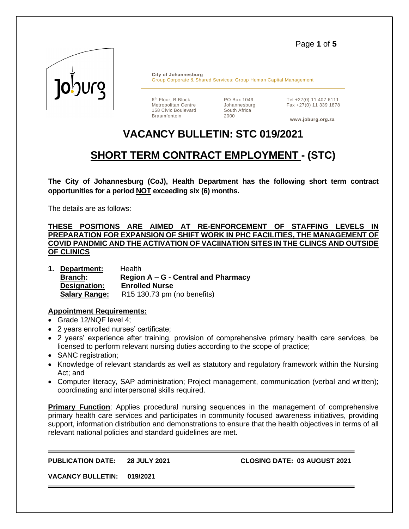Page **1** of **5**



**City of Johannesburg** Group Corporate & Shared Services: Group Human Capital Management

6<sup>th</sup> Floor, B Block Metropolitan Centre 158 Civic Boulevard Braamfontein

PO Box 1049 Johannesburg South Africa 2000

Tel +27(0) 11 407 6111 Fax +27(0) 11 339 1878

**www.joburg.org.za**

# **VACANCY BULLETIN: STC 019/2021**

# **SHORT TERM CONTRACT EMPLOYMENT - (STC)**

**The City of Johannesburg (CoJ), Health Department has the following short term contract opportunities for a period NOT exceeding six (6) months.** 

The details are as follows:

**THESE POSITIONS ARE AIMED AT RE-ENFORCEMENT OF STAFFING LEVELS PREPARATION FOR EXPANSION OF SHIFT WORK IN PHC FACILITIES, THE MANAGEMENT OF COVID PANDMIC AND THE ACTIVATION OF VACIINATION SITES IN THE CLINCS AND OUTSIDE OF CLINICS**

**1. Department:** Health **Branch: Region A – G - Central and Pharmacy Designation: Enrolled Nurse Salary Range:** R15 130.73 pm (no benefits)

### **Appointment Requirements:**

- Grade 12/NQF level 4;
- 2 years enrolled nurses' certificate;
- 2 years' experience after training, provision of comprehensive primary health care services, be licensed to perform relevant nursing duties according to the scope of practice;
- SANC registration;
- Knowledge of relevant standards as well as statutory and regulatory framework within the Nursing Act; and
- Computer literacy, SAP administration; Project management, communication (verbal and written); coordinating and interpersonal skills required.

**Primary Function**: Applies procedural nursing sequences in the management of comprehensive primary health care services and participates in community focused awareness initiatives, providing support, information distribution and demonstrations to ensure that the health objectives in terms of all relevant national policies and standard guidelines are met.

**PUBLICATION DATE: 28 JULY 2021 CLOSING DATE: 03 AUGUST 2021**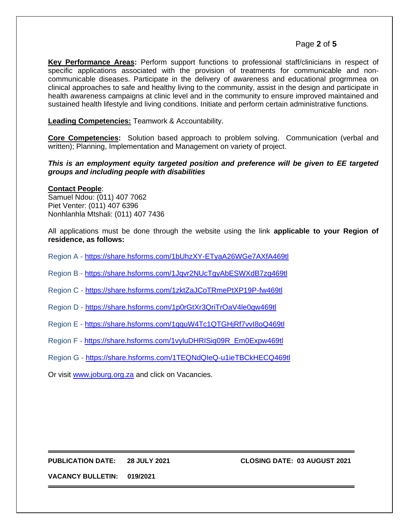# Page **2** of **5**

**Key Performance Areas:** Perform support functions to professional staff/clinicians in respect of specific applications associated with the provision of treatments for communicable and noncommunicable diseases. Participate in the delivery of awareness and educational progrmmea on clinical approaches to safe and healthy living to the community, assist in the design and participate in health awareness campaigns at clinic level and in the community to ensure improved maintained and sustained health lifestyle and living conditions. Initiate and perform certain administrative functions.

**Leading Competencies:** Teamwork & Accountability.

**Core Competencies:** Solution based approach to problem solving. Communication (verbal and written); Planning, Implementation and Management on variety of project.

#### *This is an employment equity targeted position and preference will be given to EE targeted groups and including people with disabilities*

#### **Contact People**:

Samuel Ndou: (011) 407 7062 Piet Venter: (011) 407 6396 Nonhlanhla Mtshali: (011) 407 7436

All applications must be done through the website using the link **applicable to your Region of residence, as follows:**

Region A - <https://share.hsforms.com/1bUhzXY-ETyaA26WGe7AXfA469tl>

Region B - <https://share.hsforms.com/1Jqvr2NUcTgyAbESWXdB7zg469tl>

Region C - <https://share.hsforms.com/1zktZaJCoTRmePtXP19P-fw469tl>

Region D - <https://share.hsforms.com/1p0rGtXr3QriTrOaV4le0qw469tl>

Region E - <https://share.hsforms.com/1qquW4Tc1QTGHjRf7vvI8oQ469tl>

Region F - [https://share.hsforms.com/1vyluDHRISiq09R\\_Em0Expw469tl](https://share.hsforms.com/1vyluDHRISiq09R_Em0Expw469tl)

Region G - <https://share.hsforms.com/1TEQNdQIeQ-u1ieTBCkHECQ469tl>

Or visit [www.joburg.org.za](http://www.joburg.org.za/) and click on Vacancies.

#### **PUBLICATION DATE: 28 JULY 2021 CLOSING DATE: 03 AUGUST 2021**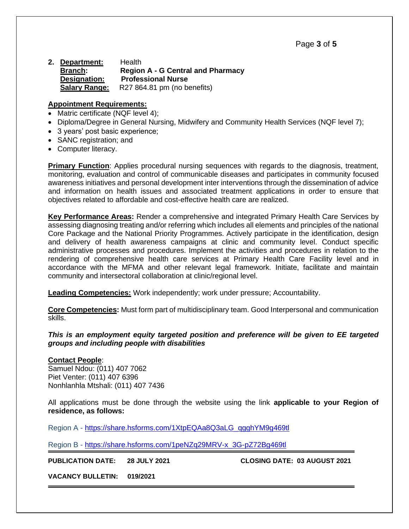Page **3** of **5**

**2. Department:** Health **Branch: Region A - G Central and Pharmacy Designation: Professional Nurse Salary Range:** R27 864.81 pm (no benefits)

#### **Appointment Requirements:**

- Matric certificate (NQF level 4);
- Diploma/Degree in General Nursing, Midwifery and Community Health Services (NQF level 7);
- 3 years' post basic experience;
- SANC registration: and
- Computer literacy.

**Primary Function**: Applies procedural nursing sequences with regards to the diagnosis, treatment, monitoring, evaluation and control of communicable diseases and participates in community focused awareness initiatives and personal development inter interventions through the dissemination of advice and information on health issues and associated treatment applications in order to ensure that objectives related to affordable and cost-effective health care are realized.

**Key Performance Areas:** Render a comprehensive and integrated Primary Health Care Services by assessing diagnosing treating and/or referring which includes all elements and principles of the national Core Package and the National Priority Programmes. Actively participate in the identification, design and delivery of health awareness campaigns at clinic and community level. Conduct specific administrative processes and procedures. Implement the activities and procedures in relation to the rendering of comprehensive health care services at Primary Health Care Facility level and in accordance with the MFMA and other relevant legal framework. Initiate, facilitate and maintain community and intersectoral collaboration at clinic/regional level.

**Leading Competencies:** Work independently; work under pressure; Accountability.

**Core Competencies:** Must form part of multidisciplinary team. Good Interpersonal and communication skills.

#### *This is an employment equity targeted position and preference will be given to EE targeted groups and including people with disabilities*

#### **Contact People**:

Samuel Ndou: (011) 407 7062 Piet Venter: (011) 407 6396 Nonhlanhla Mtshali: (011) 407 7436

All applications must be done through the website using the link **applicable to your Region of residence, as follows:**

Region A - [https://share.hsforms.com/1XtpEQAa8Q3aLG\\_qgghYM9g469tl](https://share.hsforms.com/1XtpEQAa8Q3aLG_qgghYM9g469tl)

Region B - [https://share.hsforms.com/1peNZq29MRV-x\\_3G-pZ72Bg469tl](https://share.hsforms.com/1peNZq29MRV-x_3G-pZ72Bg469tl)

**PUBLICATION DATE: 28 JULY 2021 CLOSING DATE: 03 AUGUST 2021**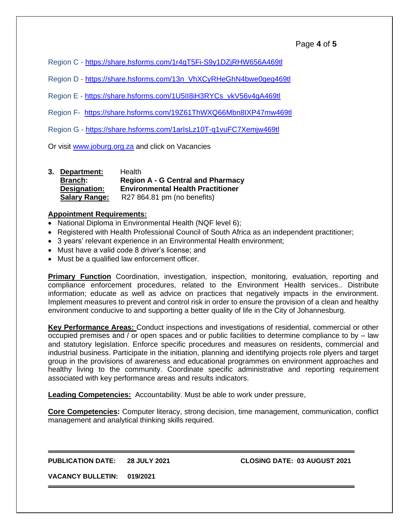Region C - <https://share.hsforms.com/1r4gT5Fi-S9y1DZjRHW656A469tl>

Region D - [https://share.hsforms.com/13n\\_VhXCyRHeGhN4bwe0geg469tl](https://share.hsforms.com/13n_VhXCyRHeGhN4bwe0geg469tl)

Region E - [https://share.hsforms.com/1U5II8iH3RYCs\\_vkV56v4gA469tl](https://share.hsforms.com/1U5II8iH3RYCs_vkV56v4gA469tl)

Region F- <https://share.hsforms.com/19Z61ThWXQ66Mbn8IXP47mw469tl>

Region G - <https://share.hsforms.com/1arIsLz10T-q1vuFC7Xemjw469tl>

Or visit [www.joburg.org.za](http://www.joburg.org.za/) and click on Vacancies

| 3. Department:       | <b>Health</b>                            |
|----------------------|------------------------------------------|
| <b>Branch:</b>       | <b>Region A - G Central and Pharmacy</b> |
| Designation:         | <b>Environmental Health Practitioner</b> |
| <b>Salary Range:</b> | R27 864.81 pm (no benefits)              |

#### **Appointment Requirements:**

- National Diploma in Environmental Health (NQF level 6);
- Registered with Health Professional Council of South Africa as an independent practitioner;
- 3 years' relevant experience in an Environmental Health environment;
- Must have a valid code 8 driver's license; and
- Must be a qualified law enforcement officer.

**Primary Function** Coordination, investigation, inspection, monitoring, evaluation, reporting and compliance enforcement procedures, related to the Environment Health services.. Distribute information; educate as well as advice on practices that negatively impacts in the environment. Implement measures to prevent and control risk in order to ensure the provision of a clean and healthy environment conducive to and supporting a better quality of life in the City of Johannesburg.

**Key Performance Areas:** Conduct inspections and investigations of residential, commercial or other occupied premises and / or open spaces and or public facilities to determine compliance to by – law and statutory legislation. Enforce specific procedures and measures on residents, commercial and industrial business. Participate in the initiation, planning and identifying projects role plyers and target group in the provisions of awareness and educational programmes on environment approaches and healthy living to the community. Coordinate specific administrative and reporting requirement associated with key performance areas and results indicators.

**Leading Competencies:** Accountability. Must be able to work under pressure,

**Core Competencies:** Computer literacy, strong decision, time management, communication, conflict management and analytical thinking skills required.

**PUBLICATION DATE: 28 JULY 2021 CLOSING DATE: 03 AUGUST 2021**